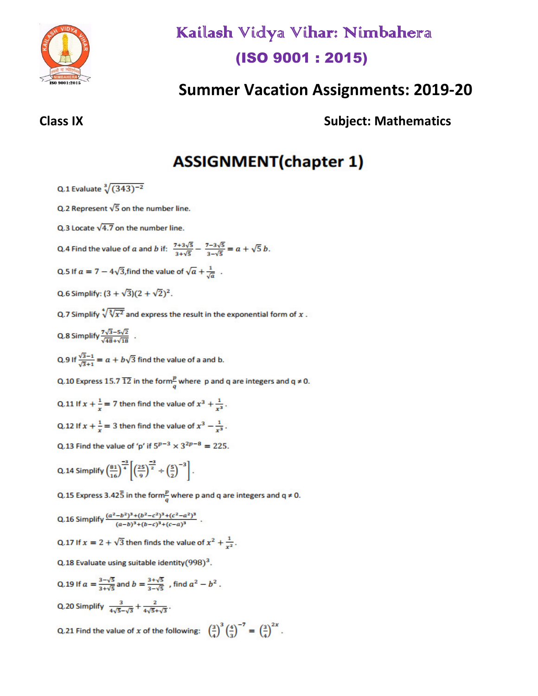

# Kailash Vidya Vihar: Nimbahera (ISO 9001:2015)

# **Summer Vacation Assignments: 2019-20**

**Subject: Mathematics** 

# **ASSIGNMENT(chapter 1)**

Q.1 Evaluate  $\sqrt[3]{(343)^{-2}}$ 

Q.2 Represent  $\sqrt{5}$  on the number line.

Q.3 Locate  $\sqrt{4.7}$  on the number line.

Q.4 Find the value of a and b if:  $\frac{7+3\sqrt{5}}{3+\sqrt{5}} - \frac{7-3\sqrt{5}}{3-\sqrt{5}} = a + \sqrt{5} b$ .

- Q.5 If  $a = 7 4\sqrt{3}$ , find the value of  $\sqrt{a} + \frac{1}{\sqrt{a}}$ .
- Q.6 Simplify:  $(3 + \sqrt{3})(2 + \sqrt{2})^2$ .
- Q.7 Simplify  $\sqrt[4]{\sqrt[3]{x^2}}$  and express the result in the exponential form of x.
- Q.8 Simplify  $\frac{7\sqrt{3}-5\sqrt{2}}{\sqrt{48}+\sqrt{18}}$ .

Q.9 If  $\frac{\sqrt{3}-1}{\sqrt{3}+1} = a + b\sqrt{3}$  find the value of a and b.

Q.10 Express 15.7  $\overline{12}$  in the form  $\frac{p}{q}$  where p and q are integers and q  $\neq$  0.

Q.11 If  $x + \frac{1}{x} = 7$  then find the value of  $x^3 + \frac{1}{x^3}$ .

- Q.12 If  $x + \frac{1}{x} = 3$  then find the value of  $x^3 \frac{1}{x^3}$ .
- Q.13 Find the value of 'p' if  $5^{p-3} \times 3^{2p-8} = 225$ .

Q.14 Simplify  $\left(\frac{81}{16}\right)^{\frac{-3}{4}} \left[\left(\frac{25}{9}\right)^{\frac{-3}{2}} \div \left(\frac{5}{2}\right)^{-3}\right]$ .

Q.15 Express 3.42 $\overline{5}$  in the form $\frac{p}{q}$  where p and q are integers and q  $\neq$  0.

Q.16 Simplify 
$$
\frac{(a^2-b^2)^3 + (b^2-c^2)^3 + (c^2-a^2)^3}{(a-b)^3 + (b-c)^3 + (c-a)^3}
$$
.

- Q.17 If  $x = 2 + \sqrt{3}$  then finds the value of  $x^2 + \frac{1}{x^2}$ .
- Q.18 Evaluate using suitable identity (998)<sup>3</sup>.

Q.19 If 
$$
a = \frac{3-\sqrt{5}}{3+\sqrt{5}}
$$
 and  $b = \frac{3+\sqrt{5}}{3-\sqrt{5}}$ , find  $a^2 - b^2$ .  
Q.20 Simplify  $\frac{3}{4\sqrt{5}-\sqrt{3}} + \frac{2}{4\sqrt{5}+\sqrt{3}}$ .

Q.21 Find the value of x of the following:  $\left(\frac{3}{4}\right)^3 \left(\frac{4}{3}\right)^{-7} = \left(\frac{3}{4}\right)^{2x}$ .

### **Class IX**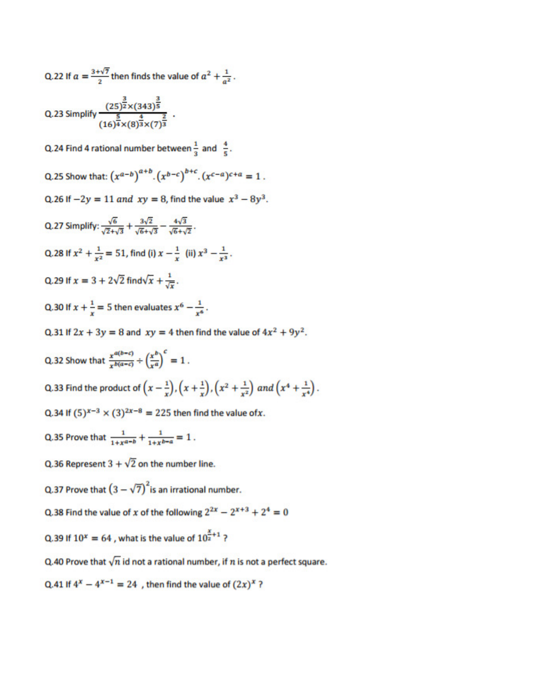Q.22 If  $a = \frac{3+\sqrt{7}}{2}$  then finds the value of  $a^2 + \frac{1}{a^2}$ .

Q.23 Simplify 
$$
\frac{(25)^{\frac{3}{2}} \times (343)^{\frac{3}{5}}}{(16)^{\frac{5}{4}} \times (8)^{\frac{4}{3}} \times (7)^{\frac{2}{3}}}
$$
.

Q.24 Find 4 rational number between  $\frac{1}{3}$  and  $\frac{4}{5}$ .

Q.25 Show that:  $(x^{a-b})^{a+b}$ .  $(x^{b-c})^{b+c}$ .  $(x^{c-a})^{c+a} = 1$ .

Q.26 If  $-2y = 11$  and  $xy = 8$ , find the value  $x^3 - 8y^3$ .

Q.27 Simplify:  $\frac{\sqrt{6}}{\sqrt{7}+\sqrt{3}} + \frac{3\sqrt{2}}{\sqrt{6}+\sqrt{3}} - \frac{4\sqrt{3}}{\sqrt{6}+\sqrt{2}}$ . Q.28 If  $x^2 + \frac{1}{x^2} = 51$ , find (i)  $x - \frac{1}{x}$  (ii)  $x^3 - \frac{1}{x^3}$ . Q.29 If  $x = 3 + 2\sqrt{2}$  find  $\sqrt{x} + \frac{1}{\sqrt{x}}$ . Q.30 If  $x + \frac{1}{x} = 5$  then evaluates  $x^6 - \frac{1}{x^6}$ . Q.31 If  $2x + 3y = 8$  and  $xy = 4$  then find the value of  $4x^2 + 9y^2$ . Q.32 Show that  $\frac{x^{a(b-c)}}{x^{b(a-c)}} \div \left(\frac{x^b}{x^a}\right)^c = 1$ . Q.33 Find the product of  $(x-\frac{1}{x})$ ,  $(x+\frac{1}{x})$ ,  $(x^2+\frac{1}{x^2})$  and  $(x^4+\frac{1}{x^4})$ . Q.34 If  $(5)^{x-3} \times (3)^{2x-8} = 225$  then find the value of x.

- Q.35 Prove that  $\frac{1}{1+x^{a-b}} + \frac{1}{1+x^{b-a}} = 1$ .
- Q.36 Represent  $3 + \sqrt{2}$  on the number line.
- Q.37 Prove that  $(3-\sqrt{7})^2$  is an irrational number.
- Q.38 Find the value of x of the following  $2^{2x} 2^{x+3} + 2^4 = 0$
- Q.39 If  $10^x = 64$ , what is the value of  $10^{\frac{x}{2}+1}$ ?
- Q.40 Prove that  $\sqrt{n}$  id not a rational number, if n is not a perfect square.
- Q.41 If  $4^x 4^{x-1} = 24$ , then find the value of  $(2x)^x$ ?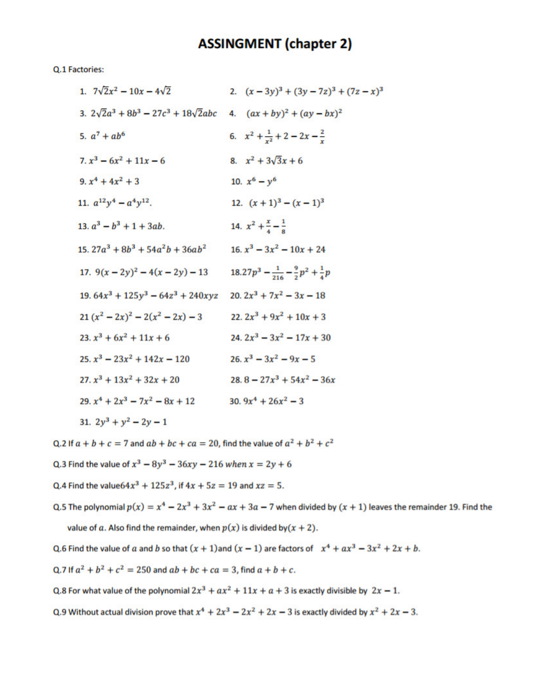### **ASSINGMENT (chapter 2)**

Q.1 Factories:

| 1. $7\sqrt{2}x^2 - 10x - 4\sqrt{2}$                                             | 2. $(x-3y)^3 + (3y-7z)^3 + (7z-x)^3$                       |
|---------------------------------------------------------------------------------|------------------------------------------------------------|
| 3. $2\sqrt{2}a^3 + 8b^3 - 27c^3 + 18\sqrt{2}abc$ 4. $(ax + by)^2 + (ay - bx)^2$ |                                                            |
| 5. $a^7 + ab^6$                                                                 | 6. $x^2 + \frac{1}{x^2} + 2 - 2x - \frac{2}{x}$            |
| $7. x3 - 6x2 + 11x - 6$                                                         | 8. $x^2 + 3\sqrt{3}x + 6$                                  |
| 9. $x^4 + 4x^2 + 3$                                                             | 10. $x^6 - y^6$                                            |
| 11. $a^{12}y^4 - a^4y^{12}$ .                                                   | 12. $(x + 1)^3 - (x - 1)^3$                                |
| 13. $a^3 - b^3 + 1 + 3ab$ .                                                     | 14. $x^2 + \frac{x}{4} - \frac{1}{8}$                      |
| 15. $27a^3 + 8b^3 + 54a^2b + 36ab^2$                                            | 16. $x^3 - 3x^2 - 10x + 24$                                |
| 17. $9(x-2y)^2-4(x-2y)-13$                                                      | $18.27p^3 - \frac{1}{216} - \frac{9}{2}p^2 + \frac{1}{4}p$ |
| $19.64x^3 + 125y^3 - 64z^3 + 240xyz$ 20. $2x^3 + 7x^2 - 3x - 18$                |                                                            |
| $21(x^2-2x)^2-2(x^2-2x)-3$                                                      | $22. 2x^3 + 9x^2 + 10x + 3$                                |
| $23. x3 + 6x2 + 11x + 6$                                                        | $24.2x^3 - 3x^2 - 17x + 30$                                |
| $25. x3 - 23x2 + 142x - 120$                                                    | $26. x3 - 3x2 - 9x - 5$                                    |
| $27. x3 + 13x2 + 32x + 20$                                                      | $28.8 - 27x^3 + 54x^2 - 36x$                               |
| $29. x4 + 2x3 - 7x2 - 8x + 12$                                                  | 30. $9x^4 + 26x^2 - 3$                                     |
| 31. $2y^3 + y^2 - 2y - 1$                                                       |                                                            |

Q.2 If  $a + b + c = 7$  and  $ab + bc + ca = 20$ , find the value of  $a^2 + b^2 + c^2$ 

Q.3 Find the value of  $x^3 - 8y^3 - 36xy - 216$  when  $x = 2y + 6$ 

Q.4 Find the value  $64x^3 + 125z^3$ , if  $4x + 5z = 19$  and  $xz = 5$ .

Q.5 The polynomial  $p(x) = x^4 - 2x^3 + 3x^2 - ax + 3a - 7$  when divided by  $(x + 1)$  leaves the remainder 19. Find the value of a. Also find the remainder, when  $p(x)$  is divided by  $(x + 2)$ .

Q.6 Find the value of a and b so that  $(x + 1)$  and  $(x - 1)$  are factors of  $x^4 + ax^3 - 3x^2 + 2x + b$ .

Q.7 If  $a^2 + b^2 + c^2 = 250$  and  $ab + bc + ca = 3$ , find  $a + b + c$ .

Q.8 For what value of the polynomial  $2x^3 + ax^2 + 11x + a + 3$  is exactly divisible by  $2x - 1$ .

Q.9 Without actual division prove that  $x^4 + 2x^3 - 2x^2 + 2x - 3$  is exactly divided by  $x^2 + 2x - 3$ .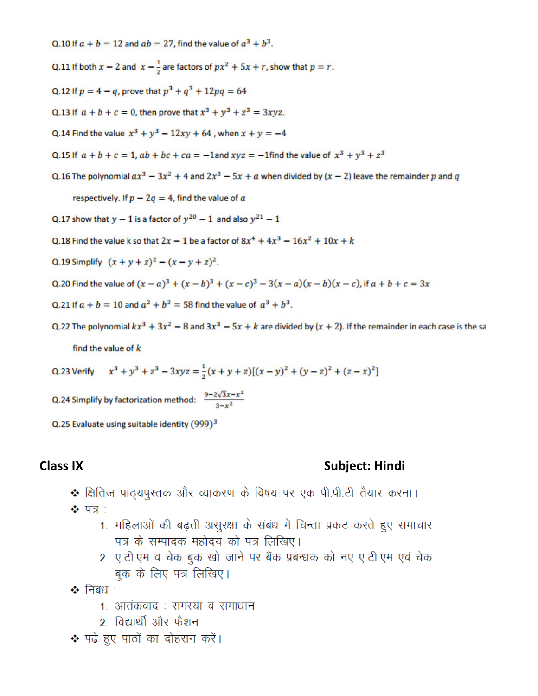Q.10 If  $a + b = 12$  and  $ab = 27$ , find the value of  $a^3 + b^3$ .

Q.11 If both  $x - 2$  and  $x - \frac{1}{2}$  are factors of  $px^2 + 5x + r$ , show that  $p = r$ .

- Q.12 If  $p = 4 q$ , prove that  $p^3 + q^3 + 12pq = 64$
- Q.13 If  $a + b + c = 0$ , then prove that  $x^3 + y^3 + z^3 = 3xyz$ .
- Q.14 Find the value  $x^3 + y^3 12xy + 64$ , when  $x + y = -4$
- Q.15 If  $a + b + c = 1$ ,  $ab + bc + ca = -1$  and  $xyz = -1$  find the value of  $x^3 + y^3 + z^3$
- Q.16 The polynomial  $ax^3 3x^2 + 4$  and  $2x^3 5x + a$  when divided by  $(x 2)$  leave the remainder p and q

respectively. If  $p - 2q = 4$ , find the value of a

- Q.17 show that  $y 1$  is a factor of  $y^{20} 1$  and also  $y^{21} 1$
- Q.18 Find the value k so that  $2x 1$  be a factor of  $8x^4 + 4x^3 16x^2 + 10x + k$
- Q.19 Simplify  $(x + y + z)^2 (x y + z)^2$ .
- Q.20 Find the value of  $(x a)^3 + (x b)^3 + (x c)^3 3(x a)(x b)(x c)$ , if  $a + b + c = 3x$
- Q.21 If  $a + b = 10$  and  $a^2 + b^2 = 58$  find the value of  $a^3 + b^3$ .
- Q.22 The polynomial  $kx^3 + 3x^2 8$  and  $3x^3 5x + k$  are divided by  $(x + 2)$ . If the remainder in each case is the sa find the value of  $k$
- Q.23 Verify  $x^3 + y^3 + z^3 3xyz = \frac{1}{2}(x + y + z)[(x y)^2 + (y z)^2 + (z x)^2]$

Q.24 Simplify by factorization method:  $\frac{9-2\sqrt{3}x-x^2}{3-x^2}$ 

Q.25 Evaluate using suitable identity (999)<sup>3</sup>

#### **Class IX**

#### Subject: Hindi

- क्षितिज पाठयपुस्तक और व्याकरण के विषय पर एक पी.पी.टी तैयार करना।
- ❖ पत्र :
	- 1. महिलाओं की बढ़ती असुरक्षा के संबंध में चिन्ता प्रकट करते हुए समाचार पत्र के सम्पादक महोदय को पत्र लिखिए।
	- 2. ए.टी.एम व चेक बुक खो जाने पर बैंक प्रबन्धक को नए ए.टी.एम एवं चेक बुक के लिए पत्र लिखिए।

❖ निबंध ∶

- 1. आतंकवाद : समस्या व समाधान
- 2. विद्यार्थी और फैशन
- ❖ पढे हुए पाठों का दोहरान करें।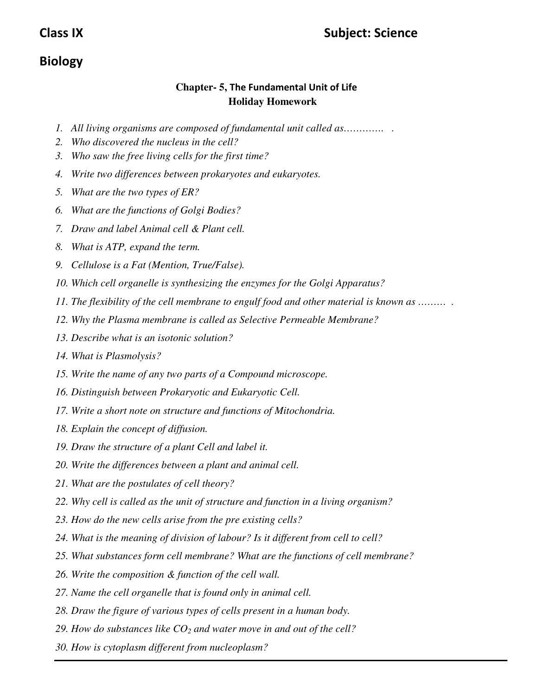## **Biology**

### **Chapter- 5, The Fundamental Unit of Life Holiday Homework**

- *1. All living organisms are composed of fundamental unit called as…………. .*
- *2. Who discovered the nucleus in the cell?*
- *3. Who saw the free living cells for the first time?*
- *4. Write two differences between prokaryotes and eukaryotes.*
- *5. What are the two types of ER?*
- *6. What are the functions of Golgi Bodies?*
- *7. Draw and label Animal cell & Plant cell.*
- *8. What is ATP, expand the term.*
- *9. Cellulose is a Fat (Mention, True/False).*
- *10. Which cell organelle is synthesizing the enzymes for the Golgi Apparatus?*
- *11. The flexibility of the cell membrane to engulf food and other material is known as ……… .*
- *12. Why the Plasma membrane is called as Selective Permeable Membrane?*
- *13. Describe what is an isotonic solution?*
- *14. What is Plasmolysis?*
- *15. Write the name of any two parts of a Compound microscope.*
- *16. Distinguish between Prokaryotic and Eukaryotic Cell.*
- *17. Write a short note on structure and functions of Mitochondria.*
- *18. Explain the concept of diffusion.*
- *19. Draw the structure of a plant Cell and label it.*
- *20. Write the differences between a plant and animal cell.*
- *21. What are the postulates of cell theory?*
- *22. Why cell is called as the unit of structure and function in a living organism?*
- *23. How do the new cells arise from the pre existing cells?*
- *24. What is the meaning of division of labour? Is it different from cell to cell?*
- *25. What substances form cell membrane? What are the functions of cell membrane?*
- *26. Write the composition & function of the cell wall.*
- *27. Name the cell organelle that is found only in animal cell.*
- *28. Draw the figure of various types of cells present in a human body.*
- *29. How do substances like CO2 and water move in and out of the cell?*
- *30. How is cytoplasm different from nucleoplasm?*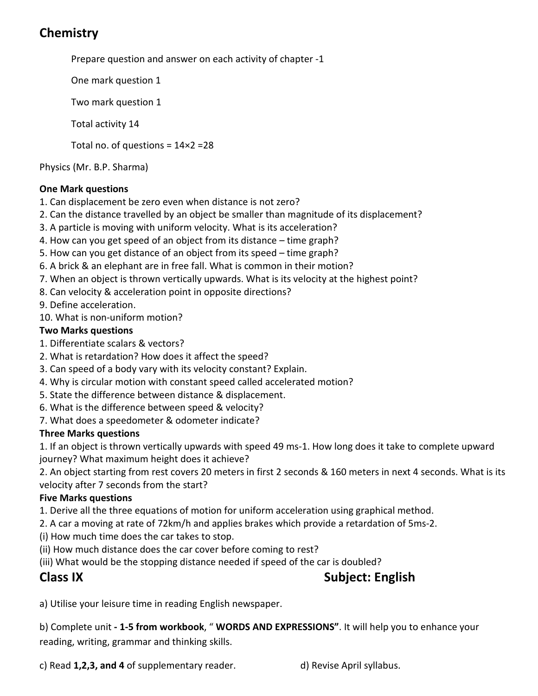# **Chemistry**

Prepare question and answer on each activity of chapter -1

One mark question 1

Two mark question 1

Total activity 14

Total no. of questions =  $14 \times 2 = 28$ 

Physics (Mr. B.P. Sharma)

#### **One Mark questions**

- 1. Can displacement be zero even when distance is not zero?
- 2. Can the distance travelled by an object be smaller than magnitude of its displacement?
- 3. A particle is moving with uniform velocity. What is its acceleration?
- 4. How can you get speed of an object from its distance time graph?
- 5. How can you get distance of an object from its speed time graph?
- 6. A brick & an elephant are in free fall. What is common in their motion?
- 7. When an object is thrown vertically upwards. What is its velocity at the highest point?
- 8. Can velocity & acceleration point in opposite directions?
- 9. Define acceleration.
- 10. What is non-uniform motion?

#### **Two Marks questions**

- 1. Differentiate scalars & vectors?
- 2. What is retardation? How does it affect the speed?
- 3. Can speed of a body vary with its velocity constant? Explain.
- 4. Why is circular motion with constant speed called accelerated motion?
- 5. State the difference between distance & displacement.
- 6. What is the difference between speed & velocity?
- 7. What does a speedometer & odometer indicate?

#### **Three Marks questions**

1. If an object is thrown vertically upwards with speed 49 ms-1. How long does it take to complete upward journey? What maximum height does it achieve?

2. An object starting from rest covers 20 meters in first 2 seconds & 160 meters in next 4 seconds. What is its velocity after 7 seconds from the start?

#### **Five Marks questions**

1. Derive all the three equations of motion for uniform acceleration using graphical method.

- 2. A car a moving at rate of 72km/h and applies brakes which provide a retardation of 5ms-2.
- (i) How much time does the car takes to stop.
- (ii) How much distance does the car cover before coming to rest?
- (iii) What would be the stopping distance needed if speed of the car is doubled?

## **Class IX** Subject: English

a) Utilise your leisure time in reading English newspaper.

b) Complete unit **- 1-5 from workbook**, " **WORDS AND EXPRESSIONS"**. It will help you to enhance your reading, writing, grammar and thinking skills.

c) Read **1,2,3, and 4** of supplementary reader. d) Revise April syllabus.